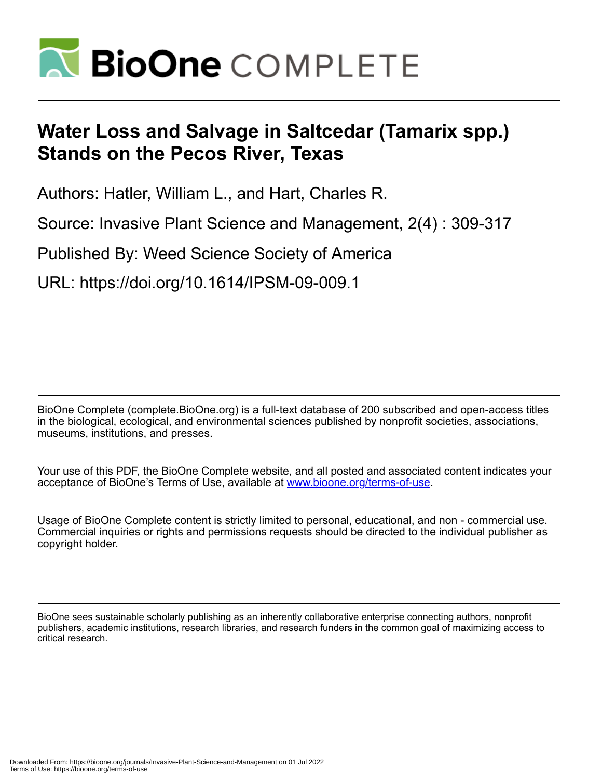

# **Water Loss and Salvage in Saltcedar (Tamarix spp.) Stands on the Pecos River, Texas**

Authors: Hatler, William L., and Hart, Charles R.

Source: Invasive Plant Science and Management, 2(4) : 309-317

Published By: Weed Science Society of America

URL: https://doi.org/10.1614/IPSM-09-009.1

BioOne Complete (complete.BioOne.org) is a full-text database of 200 subscribed and open-access titles in the biological, ecological, and environmental sciences published by nonprofit societies, associations, museums, institutions, and presses.

Your use of this PDF, the BioOne Complete website, and all posted and associated content indicates your acceptance of BioOne's Terms of Use, available at www.bioone.org/terms-of-use.

Usage of BioOne Complete content is strictly limited to personal, educational, and non - commercial use. Commercial inquiries or rights and permissions requests should be directed to the individual publisher as copyright holder.

BioOne sees sustainable scholarly publishing as an inherently collaborative enterprise connecting authors, nonprofit publishers, academic institutions, research libraries, and research funders in the common goal of maximizing access to critical research.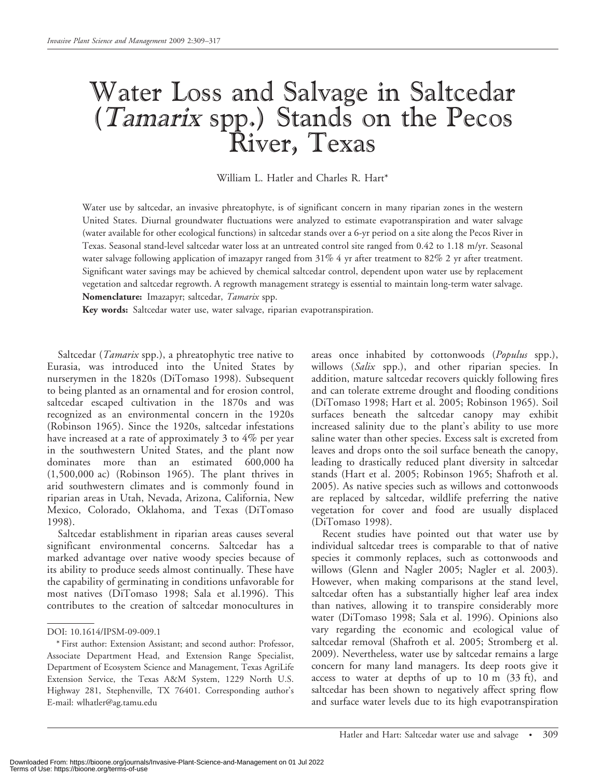# Water Loss and Salvage in Saltcedar (Tamarix spp.) Stands on the Pecos River, Texas

William L. Hatler and Charles R. Hart\*

Water use by saltcedar, an invasive phreatophyte, is of significant concern in many riparian zones in the western United States. Diurnal groundwater fluctuations were analyzed to estimate evapotranspiration and water salvage (water available for other ecological functions) in saltcedar stands over a 6-yr period on a site along the Pecos River in Texas. Seasonal stand-level saltcedar water loss at an untreated control site ranged from 0.42 to 1.18 m/yr. Seasonal water salvage following application of imazapyr ranged from 31% 4 yr after treatment to 82% 2 yr after treatment. Significant water savings may be achieved by chemical saltcedar control, dependent upon water use by replacement vegetation and saltcedar regrowth. A regrowth management strategy is essential to maintain long-term water salvage. Nomenclature: Imazapyr; saltcedar, Tamarix spp.

Key words: Saltcedar water use, water salvage, riparian evapotranspiration.

Saltcedar (*Tamarix* spp.), a phreatophytic tree native to Eurasia, was introduced into the United States by nurserymen in the 1820s (DiTomaso 1998). Subsequent to being planted as an ornamental and for erosion control, saltcedar escaped cultivation in the 1870s and was recognized as an environmental concern in the 1920s (Robinson 1965). Since the 1920s, saltcedar infestations have increased at a rate of approximately 3 to 4% per year in the southwestern United States, and the plant now dominates more than an estimated 600,000 ha (1,500,000 ac) (Robinson 1965). The plant thrives in arid southwestern climates and is commonly found in riparian areas in Utah, Nevada, Arizona, California, New Mexico, Colorado, Oklahoma, and Texas (DiTomaso 1998).

Saltcedar establishment in riparian areas causes several significant environmental concerns. Saltcedar has a marked advantage over native woody species because of its ability to produce seeds almost continually. These have the capability of germinating in conditions unfavorable for most natives (DiTomaso 1998; Sala et al.1996). This contributes to the creation of saltcedar monocultures in

areas once inhabited by cottonwoods (*Populus* spp.), willows (Salix spp.), and other riparian species. In addition, mature saltcedar recovers quickly following fires and can tolerate extreme drought and flooding conditions (DiTomaso 1998; Hart et al. 2005; Robinson 1965). Soil surfaces beneath the saltcedar canopy may exhibit increased salinity due to the plant's ability to use more saline water than other species. Excess salt is excreted from leaves and drops onto the soil surface beneath the canopy, leading to drastically reduced plant diversity in saltcedar stands (Hart et al. 2005; Robinson 1965; Shafroth et al. 2005). As native species such as willows and cottonwoods are replaced by saltcedar, wildlife preferring the native vegetation for cover and food are usually displaced (DiTomaso 1998).

Recent studies have pointed out that water use by individual saltcedar trees is comparable to that of native species it commonly replaces, such as cottonwoods and willows (Glenn and Nagler 2005; Nagler et al. 2003). However, when making comparisons at the stand level, saltcedar often has a substantially higher leaf area index than natives, allowing it to transpire considerably more water (DiTomaso 1998; Sala et al. 1996). Opinions also vary regarding the economic and ecological value of saltcedar removal (Shafroth et al. 2005; Stromberg et al. 2009). Nevertheless, water use by saltcedar remains a large concern for many land managers. Its deep roots give it access to water at depths of up to 10 m (33 ft), and saltcedar has been shown to negatively affect spring flow and surface water levels due to its high evapotranspiration

DOI: 10.1614/IPSM-09-009.1

<sup>\*</sup> First author: Extension Assistant; and second author: Professor, Associate Department Head, and Extension Range Specialist, Department of Ecosystem Science and Management, Texas AgriLife Extension Service, the Texas A&M System, 1229 North U.S. Highway 281, Stephenville, TX 76401. Corresponding author's E-mail: wlhatler@ag.tamu.edu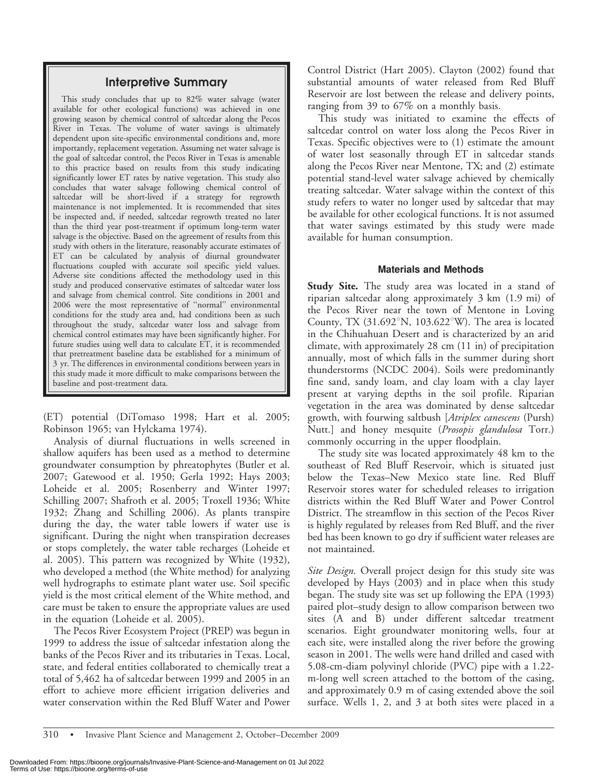# Interpretive Summary

This study concludes that up to 82% water salvage (water available for other ecological functions) was achieved in one growing season by chemical control of saltcedar along the Pecos River in Texas. The volume of water savings is ultimately dependent upon site-specific environmental conditions and, more importantly, replacement vegetation. Assuming net water salvage is the goal of saltcedar control, the Pecos River in Texas is amenable to this practice based on results from this study indicating significantly lower ET rates by native vegetation. This study also concludes that water salvage following chemical control of saltcedar will be short-lived if a strategy for regrowth maintenance is not implemented. It is recommended that sites be inspected and, if needed, saltcedar regrowth treated no later than the third year post-treatment if optimum long-term water salvage is the objective. Based on the agreement of results from this study with others in the literature, reasonably accurate estimates of ET can be calculated by analysis of diurnal groundwater fluctuations coupled with accurate soil specific yield values. Adverse site conditions affected the methodology used in this study and produced conservative estimates of saltcedar water loss and salvage from chemical control. Site conditions in 2001 and 2006 were the most representative of ''normal'' environmental conditions for the study area and, had conditions been as such throughout the study, saltcedar water loss and salvage from chemical control estimates may have been significantly higher. For future studies using well data to calculate ET, it is recommended that pretreatment baseline data be established for a minimum of 3 yr. The differences in environmental conditions between years in this study made it more difficult to make comparisons between the baseline and post-treatment data.

(ET) potential (DiTomaso 1998; Hart et al. 2005; Robinson 1965; van Hylckama 1974).

Analysis of diurnal fluctuations in wells screened in shallow aquifers has been used as a method to determine groundwater consumption by phreatophytes (Butler et al. 2007; Gatewood et al. 1950; Gerla 1992; Hays 2003; Loheide et al. 2005; Rosenberry and Winter 1997; Schilling 2007; Shafroth et al. 2005; Troxell 1936; White 1932; Zhang and Schilling 2006). As plants transpire during the day, the water table lowers if water use is significant. During the night when transpiration decreases or stops completely, the water table recharges (Loheide et al. 2005). This pattern was recognized by White (1932), who developed a method (the White method) for analyzing well hydrographs to estimate plant water use. Soil specific yield is the most critical element of the White method, and care must be taken to ensure the appropriate values are used in the equation (Loheide et al. 2005).

The Pecos River Ecosystem Project (PREP) was begun in 1999 to address the issue of saltcedar infestation along the banks of the Pecos River and its tributaries in Texas. Local, state, and federal entities collaborated to chemically treat a total of 5,462 ha of saltcedar between 1999 and 2005 in an effort to achieve more efficient irrigation deliveries and water conservation within the Red Bluff Water and Power

Control District (Hart 2005). Clayton (2002) found that substantial amounts of water released from Red Bluff Reservoir are lost between the release and delivery points, ranging from 39 to 67% on a monthly basis.

This study was initiated to examine the effects of saltcedar control on water loss along the Pecos River in Texas. Specific objectives were to (1) estimate the amount of water lost seasonally through ET in saltcedar stands along the Pecos River near Mentone, TX; and (2) estimate potential stand-level water salvage achieved by chemically treating saltcedar. Water salvage within the context of this study refers to water no longer used by saltcedar that may be available for other ecological functions. It is not assumed that water savings estimated by this study were made available for human consumption.

### Materials and Methods

**Study Site.** The study area was located in a stand of riparian saltcedar along approximately 3 km (1.9 mi) of the Pecos River near the town of Mentone in Loving County, TX  $(31.692^{\circ}N, 103.622^{\circ}W)$ . The area is located in the Chihuahuan Desert and is characterized by an arid climate, with approximately 28 cm (11 in) of precipitation annually, most of which falls in the summer during short thunderstorms (NCDC 2004). Soils were predominantly fine sand, sandy loam, and clay loam with a clay layer present at varying depths in the soil profile. Riparian vegetation in the area was dominated by dense saltcedar growth, with fourwing saltbush [Atriplex canescens (Pursh) Nutt.] and honey mesquite (Prosopis glandulosa Torr.) commonly occurring in the upper floodplain.

The study site was located approximately 48 km to the southeast of Red Bluff Reservoir, which is situated just below the Texas–New Mexico state line. Red Bluff Reservoir stores water for scheduled releases to irrigation districts within the Red Bluff Water and Power Control District. The streamflow in this section of the Pecos River is highly regulated by releases from Red Bluff, and the river bed has been known to go dry if sufficient water releases are not maintained.

Site Design. Overall project design for this study site was developed by Hays (2003) and in place when this study began. The study site was set up following the EPA (1993) paired plot–study design to allow comparison between two sites (A and B) under different saltcedar treatment scenarios. Eight groundwater monitoring wells, four at each site, were installed along the river before the growing season in 2001. The wells were hand drilled and cased with 5.08-cm-diam polyvinyl chloride (PVC) pipe with a 1.22 m-long well screen attached to the bottom of the casing, and approximately 0.9 m of casing extended above the soil surface. Wells 1, 2, and 3 at both sites were placed in a

310 • Invasive Plant Science and Management 2, October–December 2009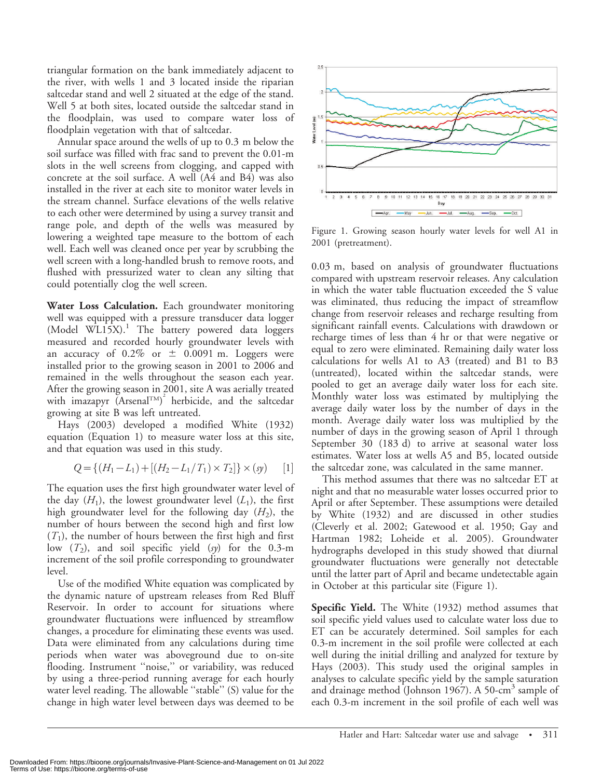triangular formation on the bank immediately adjacent to the river, with wells 1 and 3 located inside the riparian saltcedar stand and well 2 situated at the edge of the stand. Well 5 at both sites, located outside the saltcedar stand in the floodplain, was used to compare water loss of floodplain vegetation with that of saltcedar.

Annular space around the wells of up to 0.3 m below the soil surface was filled with frac sand to prevent the 0.01-m slots in the well screens from clogging, and capped with concrete at the soil surface. A well (A4 and B4) was also installed in the river at each site to monitor water levels in the stream channel. Surface elevations of the wells relative to each other were determined by using a survey transit and range pole, and depth of the wells was measured by lowering a weighted tape measure to the bottom of each well. Each well was cleaned once per year by scrubbing the well screen with a long-handled brush to remove roots, and flushed with pressurized water to clean any silting that could potentially clog the well screen.

Water Loss Calculation. Each groundwater monitoring well was equipped with a pressure transducer data logger  $(ModeI WLI5X).$ <sup>1</sup> The battery powered data loggers measured and recorded hourly groundwater levels with an accuracy of  $0.2\%$  or  $\pm$  0.0091 m. Loggers were installed prior to the growing season in 2001 to 2006 and remained in the wells throughout the season each year. After the growing season in 2001, site A was aerially treated with imazapyr (ArsenalTM) 2 herbicide, and the saltcedar growing at site B was left untreated.

Hays (2003) developed a modified White (1932) equation (Equation 1) to measure water loss at this site, and that equation was used in this study.

$$
Q = \{ (H_1 - L_1) + [(H_2 - L_1/T_1) \times T_2] \} \times (sy) \qquad [1]
$$

The equation uses the first high groundwater water level of the day  $(H_1)$ , the lowest groundwater level  $(L_1)$ , the first high groundwater level for the following day  $(H_2)$ , the number of hours between the second high and first low  $(T_1)$ , the number of hours between the first high and first low  $(T_2)$ , and soil specific yield  $(sy)$  for the 0.3-m increment of the soil profile corresponding to groundwater level.

Use of the modified White equation was complicated by the dynamic nature of upstream releases from Red Bluff Reservoir. In order to account for situations where groundwater fluctuations were influenced by streamflow changes, a procedure for eliminating these events was used. Data were eliminated from any calculations during time periods when water was aboveground due to on-site flooding. Instrument ''noise,'' or variability, was reduced by using a three-period running average for each hourly water level reading. The allowable "stable" (S) value for the change in high water level between days was deemed to be



Figure 1. Growing season hourly water levels for well A1 in 2001 (pretreatment).

0.03 m, based on analysis of groundwater fluctuations compared with upstream reservoir releases. Any calculation in which the water table fluctuation exceeded the S value was eliminated, thus reducing the impact of streamflow change from reservoir releases and recharge resulting from significant rainfall events. Calculations with drawdown or recharge times of less than 4 hr or that were negative or equal to zero were eliminated. Remaining daily water loss calculations for wells A1 to A3 (treated) and B1 to B3 (untreated), located within the saltcedar stands, were pooled to get an average daily water loss for each site. Monthly water loss was estimated by multiplying the average daily water loss by the number of days in the month. Average daily water loss was multiplied by the number of days in the growing season of April 1 through September 30 (183 d) to arrive at seasonal water loss estimates. Water loss at wells A5 and B5, located outside the saltcedar zone, was calculated in the same manner.

This method assumes that there was no saltcedar ET at night and that no measurable water losses occurred prior to April or after September. These assumptions were detailed by White (1932) and are discussed in other studies (Cleverly et al. 2002; Gatewood et al. 1950; Gay and Hartman 1982; Loheide et al. 2005). Groundwater hydrographs developed in this study showed that diurnal groundwater fluctuations were generally not detectable until the latter part of April and became undetectable again in October at this particular site (Figure 1).

Specific Yield. The White (1932) method assumes that soil specific yield values used to calculate water loss due to ET can be accurately determined. Soil samples for each 0.3-m increment in the soil profile were collected at each well during the initial drilling and analyzed for texture by Hays (2003). This study used the original samples in analyses to calculate specific yield by the sample saturation and drainage method (Johnson 1967). A 50-cm<sup>3</sup> sample of each 0.3-m increment in the soil profile of each well was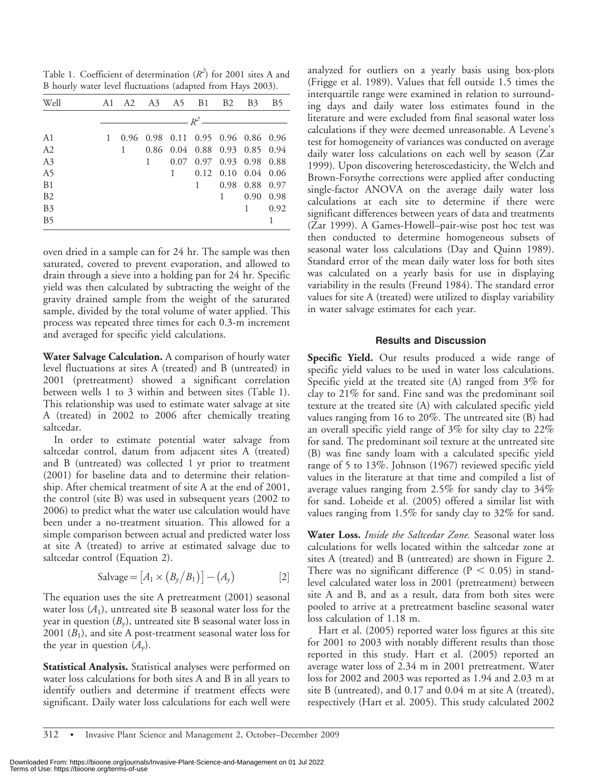Table 1. Coefficient of determination  $(R^2)$  for 2001 sites A and B hourly water level fluctuations (adapted from Hays 2003).

| Well           |                |  |           | A 1 A 2 A 3 A 5 B 1 B 2            |                          |                             | <b>B</b> <sub>3</sub> | B <sub>5</sub> |  |  |
|----------------|----------------|--|-----------|------------------------------------|--------------------------|-----------------------------|-----------------------|----------------|--|--|
|                | $\mathbb{R}^2$ |  |           |                                    |                          |                             |                       |                |  |  |
| A1             | 1              |  |           | 0.96 0.98 0.11 0.95 0.96 0.86 0.96 |                          |                             |                       |                |  |  |
| A2             |                |  |           | 0.86 0.04 0.88 0.93 0.85 0.94      |                          |                             |                       |                |  |  |
| A3             |                |  | $1 \quad$ |                                    | 0.07 0.97 0.93 0.98 0.88 |                             |                       |                |  |  |
| A5             |                |  |           | $1 \quad$                          |                          | $0.12$ $0.10$ $0.04$ $0.06$ |                       |                |  |  |
| B1             |                |  |           |                                    | $1 \quad$                |                             | 0.98 0.88             | 0.97           |  |  |
| B2             |                |  |           |                                    |                          |                             | $1 \t 0.90$           | 0.98           |  |  |
| B <sub>3</sub> |                |  |           |                                    |                          |                             | $1 \quad \Box$        | 0.92           |  |  |
| B <sub>5</sub> |                |  |           |                                    |                          |                             |                       |                |  |  |

oven dried in a sample can for 24 hr. The sample was then saturated, covered to prevent evaporation, and allowed to drain through a sieve into a holding pan for 24 hr. Specific yield was then calculated by subtracting the weight of the gravity drained sample from the weight of the saturated sample, divided by the total volume of water applied. This process was repeated three times for each 0.3-m increment and averaged for specific yield calculations.

Water Salvage Calculation. A comparison of hourly water level fluctuations at sites A (treated) and B (untreated) in 2001 (pretreatment) showed a significant correlation between wells 1 to 3 within and between sites (Table 1). This relationship was used to estimate water salvage at site A (treated) in 2002 to 2006 after chemically treating saltcedar.

In order to estimate potential water salvage from saltcedar control, datum from adjacent sites A (treated) and B (untreated) was collected 1 yr prior to treatment (2001) for baseline data and to determine their relationship. After chemical treatment of site A at the end of 2001, the control (site B) was used in subsequent years (2002 to 2006) to predict what the water use calculation would have been under a no-treatment situation. This allowed for a simple comparison between actual and predicted water loss at site A (treated) to arrive at estimated salvage due to saltcedar control (Equation 2).

$$
Salvage = [A1 \times (By/B1)] - (Ay)
$$
 [2]

The equation uses the site A pretreatment (2001) seasonal water loss  $(A_1)$ , untreated site B seasonal water loss for the year in question  $(B_v)$ , untreated site B seasonal water loss in 2001  $(B_1)$ , and site A post-treatment seasonal water loss for the year in question  $(A_v)$ .

Statistical Analysis. Statistical analyses were performed on water loss calculations for both sites A and B in all years to identify outliers and determine if treatment effects were significant. Daily water loss calculations for each well were analyzed for outliers on a yearly basis using box-plots (Frigge et al. 1989). Values that fell outside 1.5 times the interquartile range were examined in relation to surrounding days and daily water loss estimates found in the literature and were excluded from final seasonal water loss calculations if they were deemed unreasonable. A Levene's test for homogeneity of variances was conducted on average daily water loss calculations on each well by season (Zar 1999). Upon discovering heteroscedasticity, the Welch and Brown-Forsythe corrections were applied after conducting single-factor ANOVA on the average daily water loss calculations at each site to determine if there were significant differences between years of data and treatments (Zar 1999). A Games-Howell–pair-wise post hoc test was then conducted to determine homogeneous subsets of seasonal water loss calculations (Day and Quinn 1989). Standard error of the mean daily water loss for both sites was calculated on a yearly basis for use in displaying variability in the results (Freund 1984). The standard error values for site A (treated) were utilized to display variability in water salvage estimates for each year.

## Results and Discussion

Specific Yield. Our results produced a wide range of specific yield values to be used in water loss calculations. Specific yield at the treated site  $(A)$  ranged from  $3\%$  for clay to 21% for sand. Fine sand was the predominant soil texture at the treated site (A) with calculated specific yield values ranging from 16 to 20%. The untreated site (B) had an overall specific yield range of 3% for silty clay to 22% for sand. The predominant soil texture at the untreated site (B) was fine sandy loam with a calculated specific yield range of 5 to 13%. Johnson (1967) reviewed specific yield values in the literature at that time and compiled a list of average values ranging from 2.5% for sandy clay to 34% for sand. Loheide et al. (2005) offered a similar list with values ranging from 1.5% for sandy clay to 32% for sand.

Water Loss. Inside the Saltcedar Zone. Seasonal water loss calculations for wells located within the saltcedar zone at sites A (treated) and B (untreated) are shown in Figure 2. There was no significant difference ( $P < 0.05$ ) in standlevel calculated water loss in 2001 (pretreatment) between site A and B, and as a result, data from both sites were pooled to arrive at a pretreatment baseline seasonal water loss calculation of 1.18 m.

Hart et al. (2005) reported water loss figures at this site for 2001 to 2003 with notably different results than those reported in this study. Hart et al. (2005) reported an average water loss of 2.34 m in 2001 pretreatment. Water loss for 2002 and 2003 was reported as 1.94 and 2.03 m at site B (untreated), and 0.17 and 0.04 m at site A (treated), respectively (Hart et al. 2005). This study calculated 2002

<sup>312 •</sup> Invasive Plant Science and Management 2, October–December 2009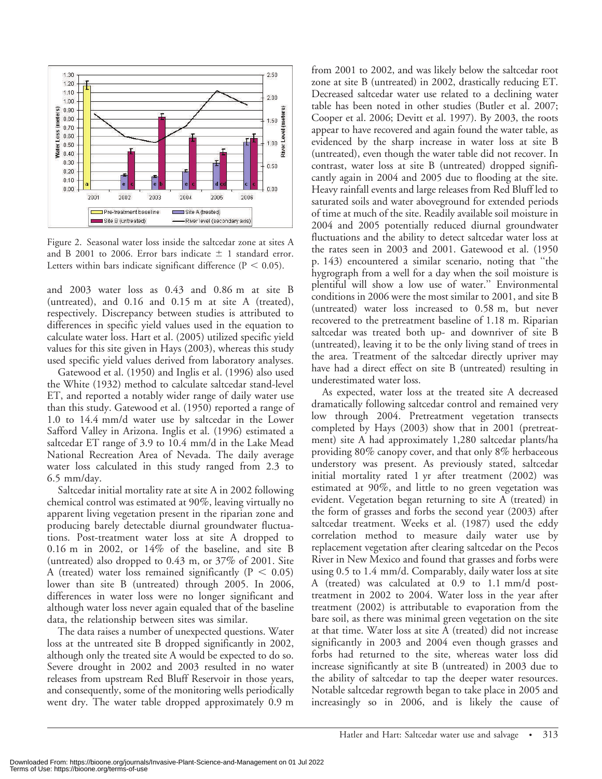

Figure 2. Seasonal water loss inside the saltcedar zone at sites A and B 2001 to 2006. Error bars indicate  $\pm$  1 standard error. Letters within bars indicate significant difference ( $P < 0.05$ ).

and 2003 water loss as 0.43 and 0.86 m at site B (untreated), and 0.16 and 0.15 m at site A (treated), respectively. Discrepancy between studies is attributed to differences in specific yield values used in the equation to calculate water loss. Hart et al. (2005) utilized specific yield values for this site given in Hays (2003), whereas this study used specific yield values derived from laboratory analyses.

Gatewood et al. (1950) and Inglis et al. (1996) also used the White (1932) method to calculate saltcedar stand-level ET, and reported a notably wider range of daily water use than this study. Gatewood et al. (1950) reported a range of 1.0 to 14.4 mm/d water use by saltcedar in the Lower Safford Valley in Arizona. Inglis et al. (1996) estimated a saltcedar ET range of 3.9 to 10.4 mm/d in the Lake Mead National Recreation Area of Nevada. The daily average water loss calculated in this study ranged from 2.3 to 6.5 mm/day.

Saltcedar initial mortality rate at site A in 2002 following chemical control was estimated at 90%, leaving virtually no apparent living vegetation present in the riparian zone and producing barely detectable diurnal groundwater fluctuations. Post-treatment water loss at site A dropped to 0.16 m in 2002, or  $14\%$  of the baseline, and site B (untreated) also dropped to 0.43 m, or 37% of 2001. Site A (treated) water loss remained significantly ( $P < 0.05$ ) lower than site B (untreated) through 2005. In 2006, differences in water loss were no longer significant and although water loss never again equaled that of the baseline data, the relationship between sites was similar.

The data raises a number of unexpected questions. Water loss at the untreated site B dropped significantly in 2002, although only the treated site A would be expected to do so. Severe drought in 2002 and 2003 resulted in no water releases from upstream Red Bluff Reservoir in those years, and consequently, some of the monitoring wells periodically went dry. The water table dropped approximately 0.9 m from 2001 to 2002, and was likely below the saltcedar root zone at site B (untreated) in 2002, drastically reducing ET. Decreased saltcedar water use related to a declining water table has been noted in other studies (Butler et al. 2007; Cooper et al. 2006; Devitt et al. 1997). By 2003, the roots appear to have recovered and again found the water table, as evidenced by the sharp increase in water loss at site B (untreated), even though the water table did not recover. In contrast, water loss at site B (untreated) dropped significantly again in 2004 and 2005 due to flooding at the site. Heavy rainfall events and large releases from Red Bluff led to saturated soils and water aboveground for extended periods of time at much of the site. Readily available soil moisture in 2004 and 2005 potentially reduced diurnal groundwater fluctuations and the ability to detect saltcedar water loss at the rates seen in 2003 and 2001. Gatewood et al. (1950 p. 143) encountered a similar scenario, noting that ''the hygrograph from a well for a day when the soil moisture is plentiful will show a low use of water.'' Environmental conditions in 2006 were the most similar to 2001, and site B (untreated) water loss increased to 0.58 m, but never recovered to the pretreatment baseline of 1.18 m. Riparian saltcedar was treated both up- and downriver of site B (untreated), leaving it to be the only living stand of trees in the area. Treatment of the saltcedar directly upriver may have had a direct effect on site B (untreated) resulting in underestimated water loss.

As expected, water loss at the treated site A decreased dramatically following saltcedar control and remained very low through 2004. Pretreatment vegetation transects completed by Hays (2003) show that in 2001 (pretreatment) site A had approximately 1,280 saltcedar plants/ha providing 80% canopy cover, and that only 8% herbaceous understory was present. As previously stated, saltcedar initial mortality rated 1 yr after treatment (2002) was estimated at 90%, and little to no green vegetation was evident. Vegetation began returning to site A (treated) in the form of grasses and forbs the second year (2003) after saltcedar treatment. Weeks et al. (1987) used the eddy correlation method to measure daily water use by replacement vegetation after clearing saltcedar on the Pecos River in New Mexico and found that grasses and forbs were using 0.5 to 1.4 mm/d. Comparably, daily water loss at site A (treated) was calculated at 0.9 to 1.1 mm/d posttreatment in 2002 to 2004. Water loss in the year after treatment (2002) is attributable to evaporation from the bare soil, as there was minimal green vegetation on the site at that time. Water loss at site A (treated) did not increase significantly in 2003 and 2004 even though grasses and forbs had returned to the site, whereas water loss did increase significantly at site B (untreated) in 2003 due to the ability of saltcedar to tap the deeper water resources. Notable saltcedar regrowth began to take place in 2005 and increasingly so in 2006, and is likely the cause of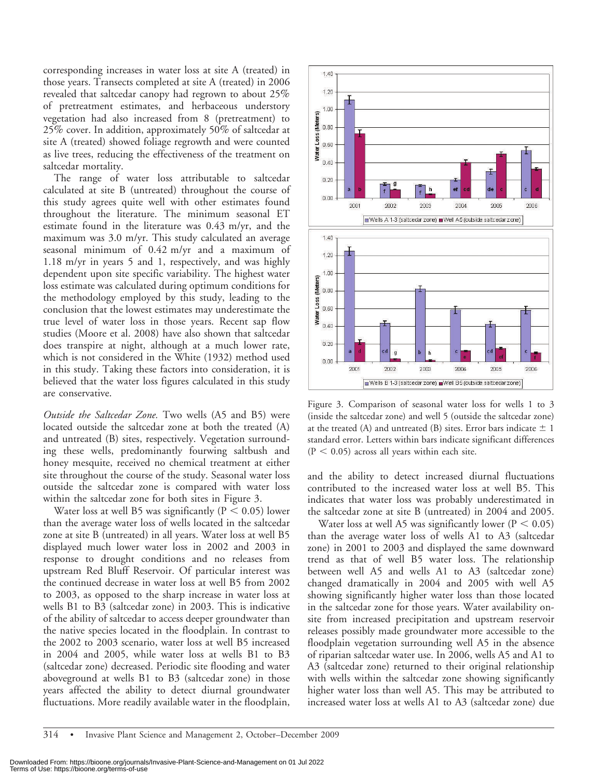corresponding increases in water loss at site A (treated) in those years. Transects completed at site A (treated) in 2006 revealed that saltcedar canopy had regrown to about 25% of pretreatment estimates, and herbaceous understory vegetation had also increased from 8 (pretreatment) to 25% cover. In addition, approximately 50% of saltcedar at site A (treated) showed foliage regrowth and were counted as live trees, reducing the effectiveness of the treatment on saltcedar mortality.

The range of water loss attributable to saltcedar calculated at site B (untreated) throughout the course of this study agrees quite well with other estimates found throughout the literature. The minimum seasonal ET estimate found in the literature was 0.43 m/yr, and the maximum was 3.0 m/yr. This study calculated an average seasonal minimum of 0.42 m/yr and a maximum of 1.18 m/yr in years 5 and 1, respectively, and was highly dependent upon site specific variability. The highest water loss estimate was calculated during optimum conditions for the methodology employed by this study, leading to the conclusion that the lowest estimates may underestimate the true level of water loss in those years. Recent sap flow studies (Moore et al. 2008) have also shown that saltcedar does transpire at night, although at a much lower rate, which is not considered in the White (1932) method used in this study. Taking these factors into consideration, it is believed that the water loss figures calculated in this study are conservative.

Outside the Saltcedar Zone. Two wells (A5 and B5) were located outside the saltcedar zone at both the treated (A) and untreated (B) sites, respectively. Vegetation surrounding these wells, predominantly fourwing saltbush and honey mesquite, received no chemical treatment at either site throughout the course of the study. Seasonal water loss outside the saltcedar zone is compared with water loss within the saltcedar zone for both sites in Figure 3.

Water loss at well B5 was significantly ( $P < 0.05$ ) lower than the average water loss of wells located in the saltcedar zone at site B (untreated) in all years. Water loss at well B5 displayed much lower water loss in 2002 and 2003 in response to drought conditions and no releases from upstream Red Bluff Reservoir. Of particular interest was the continued decrease in water loss at well B5 from 2002 to 2003, as opposed to the sharp increase in water loss at wells B1 to B3 (saltcedar zone) in 2003. This is indicative of the ability of saltcedar to access deeper groundwater than the native species located in the floodplain. In contrast to the 2002 to 2003 scenario, water loss at well B5 increased in 2004 and 2005, while water loss at wells B1 to B3 (saltcedar zone) decreased. Periodic site flooding and water aboveground at wells B1 to B3 (saltcedar zone) in those years affected the ability to detect diurnal groundwater fluctuations. More readily available water in the floodplain,



Figure 3. Comparison of seasonal water loss for wells 1 to 3 (inside the saltcedar zone) and well 5 (outside the saltcedar zone) at the treated (A) and untreated (B) sites. Error bars indicate  $\pm$  1 standard error. Letters within bars indicate significant differences  $(P < 0.05)$  across all years within each site.

and the ability to detect increased diurnal fluctuations contributed to the increased water loss at well B5. This indicates that water loss was probably underestimated in the saltcedar zone at site B (untreated) in 2004 and 2005.

Water loss at well A5 was significantly lower ( $P < 0.05$ ) than the average water loss of wells A1 to A3 (saltcedar zone) in 2001 to 2003 and displayed the same downward trend as that of well B5 water loss. The relationship between well A5 and wells A1 to A3 (saltcedar zone) changed dramatically in 2004 and 2005 with well A5 showing significantly higher water loss than those located in the saltcedar zone for those years. Water availability onsite from increased precipitation and upstream reservoir releases possibly made groundwater more accessible to the floodplain vegetation surrounding well A5 in the absence of riparian saltcedar water use. In 2006, wells A5 and A1 to A3 (saltcedar zone) returned to their original relationship with wells within the saltcedar zone showing significantly higher water loss than well A5. This may be attributed to increased water loss at wells A1 to A3 (saltcedar zone) due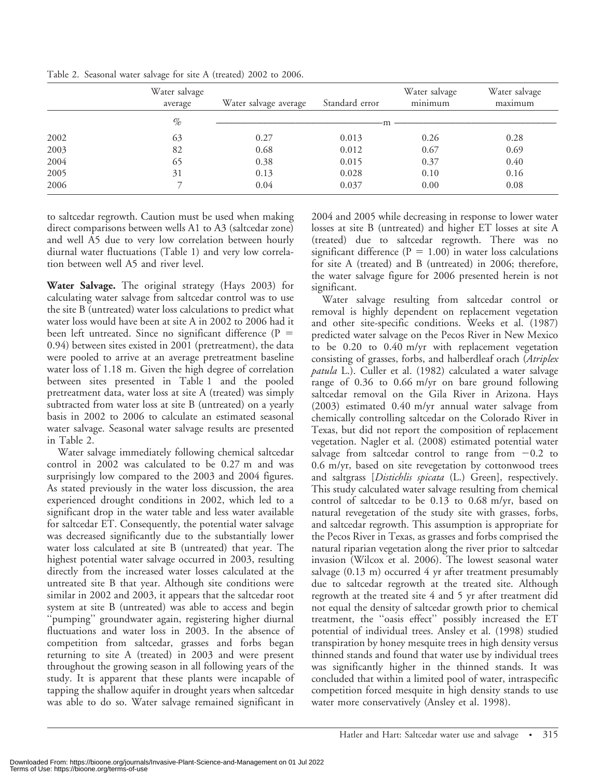|      | Water salvage<br>average | Water salvage average | Standard error | Water salvage<br>minimum | Water salvage<br>maximum |  |  |  |
|------|--------------------------|-----------------------|----------------|--------------------------|--------------------------|--|--|--|
|      | $\%$                     |                       |                |                          |                          |  |  |  |
| 2002 | 63                       | 0.27                  | 0.013          | 0.26                     | 0.28                     |  |  |  |
| 2003 | 82                       | 0.68                  | 0.012          | 0.67                     | 0.69                     |  |  |  |
| 2004 | 65                       | 0.38                  | 0.015          | 0.37                     | 0.40                     |  |  |  |
| 2005 | 31                       | 0.13                  | 0.028          | 0.10                     | 0.16                     |  |  |  |
| 2006 |                          | 0.04                  | 0.037          | 0.00                     | 0.08                     |  |  |  |

Table 2. Seasonal water salvage for site A (treated) 2002 to 2006.

to saltcedar regrowth. Caution must be used when making direct comparisons between wells A1 to A3 (saltcedar zone) and well A5 due to very low correlation between hourly diurnal water fluctuations (Table 1) and very low correlation between well A5 and river level.

Water Salvage. The original strategy (Hays 2003) for calculating water salvage from saltcedar control was to use the site B (untreated) water loss calculations to predict what water loss would have been at site A in 2002 to 2006 had it been left untreated. Since no significant difference  $(P =$ 0.94) between sites existed in 2001 (pretreatment), the data were pooled to arrive at an average pretreatment baseline water loss of 1.18 m. Given the high degree of correlation between sites presented in Table 1 and the pooled pretreatment data, water loss at site A (treated) was simply subtracted from water loss at site B (untreated) on a yearly basis in 2002 to 2006 to calculate an estimated seasonal water salvage. Seasonal water salvage results are presented in Table 2.

Water salvage immediately following chemical saltcedar control in 2002 was calculated to be 0.27 m and was surprisingly low compared to the 2003 and 2004 figures. As stated previously in the water loss discussion, the area experienced drought conditions in 2002, which led to a significant drop in the water table and less water available for saltcedar ET. Consequently, the potential water salvage was decreased significantly due to the substantially lower water loss calculated at site B (untreated) that year. The highest potential water salvage occurred in 2003, resulting directly from the increased water losses calculated at the untreated site B that year. Although site conditions were similar in 2002 and 2003, it appears that the saltcedar root system at site B (untreated) was able to access and begin ''pumping'' groundwater again, registering higher diurnal fluctuations and water loss in 2003. In the absence of competition from saltcedar, grasses and forbs began returning to site A (treated) in 2003 and were present throughout the growing season in all following years of the study. It is apparent that these plants were incapable of tapping the shallow aquifer in drought years when saltcedar was able to do so. Water salvage remained significant in 2004 and 2005 while decreasing in response to lower water losses at site B (untreated) and higher ET losses at site A (treated) due to saltcedar regrowth. There was no significant difference ( $P = 1.00$ ) in water loss calculations for site A (treated) and B (untreated) in 2006; therefore, the water salvage figure for 2006 presented herein is not significant.

Water salvage resulting from saltcedar control or removal is highly dependent on replacement vegetation and other site-specific conditions. Weeks et al. (1987) predicted water salvage on the Pecos River in New Mexico to be 0.20 to 0.40 m/yr with replacement vegetation consisting of grasses, forbs, and halberdleaf orach (Atriplex patula L.). Culler et al. (1982) calculated a water salvage range of 0.36 to 0.66 m/yr on bare ground following saltcedar removal on the Gila River in Arizona. Hays (2003) estimated 0.40 m/yr annual water salvage from chemically controlling saltcedar on the Colorado River in Texas, but did not report the composition of replacement vegetation. Nagler et al. (2008) estimated potential water salvage from saltcedar control to range from  $-0.2$  to 0.6 m/yr, based on site revegetation by cottonwood trees and saltgrass [*Distichlis spicata* (L.) Green], respectively. This study calculated water salvage resulting from chemical control of saltcedar to be 0.13 to 0.68 m/yr, based on natural revegetation of the study site with grasses, forbs, and saltcedar regrowth. This assumption is appropriate for the Pecos River in Texas, as grasses and forbs comprised the natural riparian vegetation along the river prior to saltcedar invasion (Wilcox et al. 2006). The lowest seasonal water salvage  $(0.13 \text{ m})$  occurred 4 yr after treatment presumably due to saltcedar regrowth at the treated site. Although regrowth at the treated site 4 and 5 yr after treatment did not equal the density of saltcedar growth prior to chemical treatment, the ''oasis effect'' possibly increased the ET potential of individual trees. Ansley et al. (1998) studied transpiration by honey mesquite trees in high density versus thinned stands and found that water use by individual trees was significantly higher in the thinned stands. It was concluded that within a limited pool of water, intraspecific competition forced mesquite in high density stands to use water more conservatively (Ansley et al. 1998).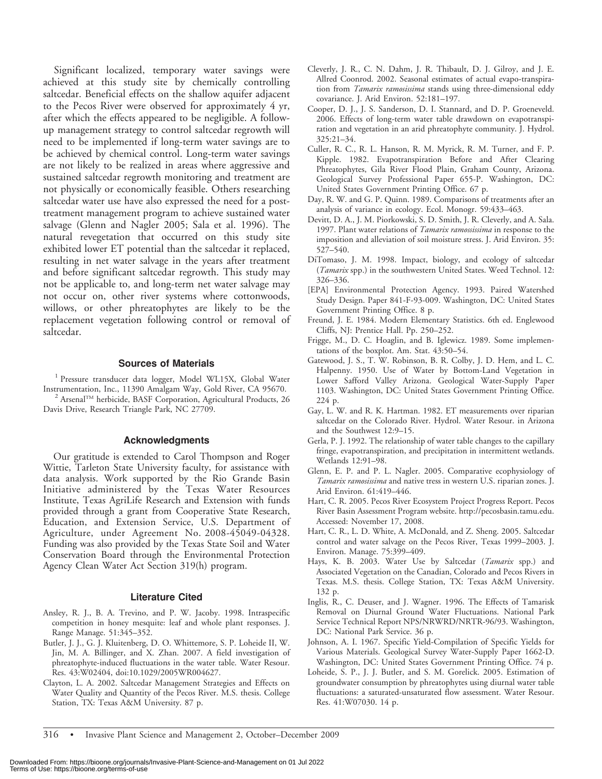Significant localized, temporary water savings were achieved at this study site by chemically controlling saltcedar. Beneficial effects on the shallow aquifer adjacent to the Pecos River were observed for approximately 4 yr, after which the effects appeared to be negligible. A followup management strategy to control saltcedar regrowth will need to be implemented if long-term water savings are to be achieved by chemical control. Long-term water savings are not likely to be realized in areas where aggressive and sustained saltcedar regrowth monitoring and treatment are not physically or economically feasible. Others researching saltcedar water use have also expressed the need for a posttreatment management program to achieve sustained water salvage (Glenn and Nagler 2005; Sala et al. 1996). The natural revegetation that occurred on this study site exhibited lower ET potential than the saltcedar it replaced, resulting in net water salvage in the years after treatment and before significant saltcedar regrowth. This study may not be applicable to, and long-term net water salvage may not occur on, other river systems where cottonwoods, willows, or other phreatophytes are likely to be the replacement vegetation following control or removal of saltcedar.

#### Sources of Materials

<sup>1</sup> Pressure transducer data logger, Model WL15X, Global Water<br>Instrumentation, Inc., 11390 Amalgam Way, Gold River, CA 95670.

<sup>2</sup> Arsenal<sup>TM</sup> herbicide, BASF Corporation, Agricultural Products, 26 Davis Drive, Research Triangle Park, NC 27709.

#### Acknowledgments

Our gratitude is extended to Carol Thompson and Roger Wittie, Tarleton State University faculty, for assistance with data analysis. Work supported by the Rio Grande Basin Initiative administered by the Texas Water Resources Institute, Texas AgriLife Research and Extension with funds provided through a grant from Cooperative State Research, Education, and Extension Service, U.S. Department of Agriculture, under Agreement No. 2008-45049-04328. Funding was also provided by the Texas State Soil and Water Conservation Board through the Environmental Protection Agency Clean Water Act Section 319(h) program.

#### Literature Cited

- Ansley, R. J., B. A. Trevino, and P. W. Jacoby. 1998. Intraspecific competition in honey mesquite: leaf and whole plant responses. J. Range Manage. 51:345–352.
- Butler, J. J., G. J. Kluitenberg, D. O. Whittemore, S. P. Loheide II, W. Jin, M. A. Billinger, and X. Zhan. 2007. A field investigation of phreatophyte-induced fluctuations in the water table. Water Resour. Res. 43:W02404, doi:10.1029/2005WR004627.
- Clayton, L. A. 2002. Saltcedar Management Strategies and Effects on Water Quality and Quantity of the Pecos River. M.S. thesis. College Station, TX: Texas A&M University. 87 p.
- Cleverly, J. R., C. N. Dahm, J. R. Thibault, D. J. Gilroy, and J. E. Allred Coonrod. 2002. Seasonal estimates of actual evapo-transpiration from Tamarix ramosissima stands using three-dimensional eddy covariance. J. Arid Environ. 52:181–197.
- Cooper, D. J., J. S. Sanderson, D. I. Stannard, and D. P. Groeneveld. 2006. Effects of long-term water table drawdown on evapotranspiration and vegetation in an arid phreatophyte community. J. Hydrol. 325:21–34.
- Culler, R. C., R. L. Hanson, R. M. Myrick, R. M. Turner, and F. P. Kipple. 1982. Evapotranspiration Before and After Clearing Phreatophytes, Gila River Flood Plain, Graham County, Arizona. Geological Survey Professional Paper 655-P. Washington, DC: United States Government Printing Office. 67 p.
- Day, R. W. and G. P. Quinn. 1989. Comparisons of treatments after an analysis of variance in ecology. Ecol. Monogr. 59:433–463.
- Devitt, D. A., J. M. Piorkowski, S. D. Smith, J. R. Cleverly, and A. Sala. 1997. Plant water relations of *Tamarix ramossissima* in response to the imposition and alleviation of soil moisture stress. J. Arid Environ. 35: 527–540.
- DiTomaso, J. M. 1998. Impact, biology, and ecology of saltcedar (Tamarix spp.) in the southwestern United States. Weed Technol. 12: 326–336.
- [EPA] Environmental Protection Agency. 1993. Paired Watershed Study Design. Paper 841-F-93-009. Washington, DC: United States Government Printing Office. 8 p.
- Freund, J. E. 1984. Modern Elementary Statistics. 6th ed. Englewood Cliffs, NJ: Prentice Hall. Pp. 250–252.
- Frigge, M., D. C. Hoaglin, and B. Iglewicz. 1989. Some implementations of the boxplot. Am. Stat. 43:50–54.
- Gatewood, J. S., T. W. Robinson, B. R. Colby, J. D. Hem, and L. C. Halpenny. 1950. Use of Water by Bottom-Land Vegetation in Lower Safford Valley Arizona. Geological Water-Supply Paper 1103. Washington, DC: United States Government Printing Office. 224 p.
- Gay, L. W. and R. K. Hartman. 1982. ET measurements over riparian saltcedar on the Colorado River. Hydrol. Water Resour. in Arizona and the Southwest 12:9–15.
- Gerla, P. J. 1992. The relationship of water table changes to the capillary fringe, evapotranspiration, and precipitation in intermittent wetlands. Wetlands 12:91–98.
- Glenn, E. P. and P. L. Nagler. 2005. Comparative ecophysiology of Tamarix ramosissima and native tress in western U.S. riparian zones. J. Arid Environ. 61:419–446.
- Hart, C. R. 2005. Pecos River Ecosystem Project Progress Report. Pecos River Basin Assessment Program website. http://pecosbasin.tamu.edu. Accessed: November 17, 2008.
- Hart, C. R., L. D. White, A. McDonald, and Z. Sheng. 2005. Saltcedar control and water salvage on the Pecos River, Texas 1999–2003. J. Environ. Manage. 75:399–409.
- Hays, K. B. 2003. Water Use by Saltcedar (Tamarix spp.) and Associated Vegetation on the Canadian, Colorado and Pecos Rivers in Texas. M.S. thesis. College Station, TX: Texas A&M University. 132 p.
- Inglis, R., C. Deuser, and J. Wagner. 1996. The Effects of Tamarisk Removal on Diurnal Ground Water Fluctuations. National Park Service Technical Report NPS/NRWRD/NRTR-96/93. Washington, DC: National Park Service. 36 p.
- Johnson, A. I. 1967. Specific Yield-Compilation of Specific Yields for Various Materials. Geological Survey Water-Supply Paper 1662-D. Washington, DC: United States Government Printing Office. 74 p.
- Loheide, S. P., J. J. Butler, and S. M. Gorelick. 2005. Estimation of groundwater consumption by phreatophytes using diurnal water table fluctuations: a saturated-unsaturated flow assessment. Water Resour. Res. 41:W07030. 14 p.

316 • Invasive Plant Science and Management 2, October–December 2009